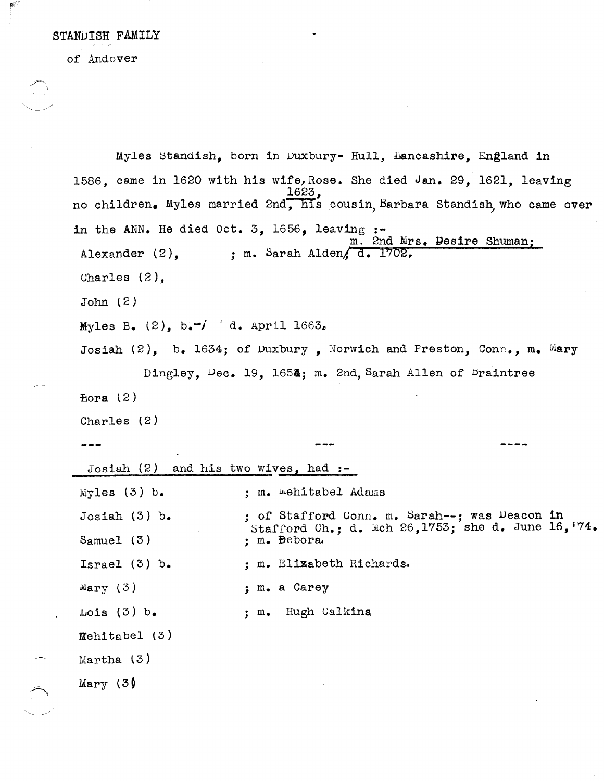STANDISH FAMILY

of Andover

 $\int_{0}^{\frac{\pi}{2}}$ 

 $\bigcap\limits_{i=1}^n\left\{ \bigcap\limits_{i=1}^n\left\{ x_i\right\} _{i=1}^{n}\right\}$ 

|                                                 | Myles Standish, born in Duxbury- Hull, Lancashire, England in                      |
|-------------------------------------------------|------------------------------------------------------------------------------------|
|                                                 | 1586. came in 1620 with his wife, Rose. She died Jan. 29. 1621. leaving            |
|                                                 | 1623,<br>no children. Myles married 2nd, his cousin Barbara Standish who came over |
| in the ANN. He died Oct. 3, 1656, leaving $:$ - | m. 2nd Mrs. Desire Shuman:                                                         |
| Alexander $(2)$ ,                               | ; m. Sarah Alden, d. 1702.                                                         |
| Charles $(2)$ ,                                 |                                                                                    |
| John(2)                                         |                                                                                    |
| Myles B. (2), $b_i - j - 1$ d. April 1663.      |                                                                                    |
|                                                 | Josiah $(2)$ , b. 1634; of Duxbury, Norwich and Preston, Conn., m. Mary            |
|                                                 | Dingley, Dec. 19, 1654; m. 2nd, Sarah Allen of Braintree                           |
| Eora $(2)$                                      |                                                                                    |
| Charles (2)                                     |                                                                                    |
|                                                 |                                                                                    |
|                                                 |                                                                                    |
| Josiah $(2)$ and his two wives, had :-          |                                                                                    |
| Myles $(3)$ b.                                  | ; m. mehitabel Adams                                                               |
| Josiah $(3)$ b.                                 | ; of Stafford Conn. m. Sarah --; was Deacon in                                     |
| Samuel $(3)$                                    | Stafford Ch.; d. Mch 26,1753; she d. June 16, 74.<br>; m. Bebora.                  |
| Israel $(3)$ b.                                 | ; m. Elizabeth Richards.                                                           |
| Mary $(3)$                                      | ; m. a Carey                                                                       |
| $\text{Lois}$ (3) $b_{\bullet}$                 | ; m. Hugh Calkins                                                                  |
| $Method (3)$                                    |                                                                                    |
| Martha $(3)$                                    |                                                                                    |
| Mary $(3)$                                      |                                                                                    |

 $\mathcal{L}_{\mathcal{A}}$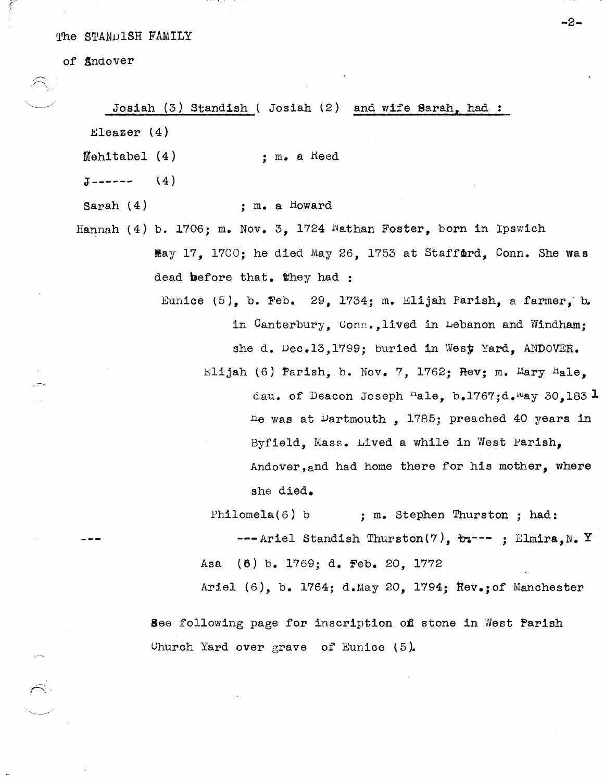The STANDISH FAMILY

of *findover* 

Josiah (3) Standish ( Josiah l2) and wife Sarah, **had:**   $Eleazer (4)$ Mehitabel (4)  $J$ ------  $(4)$ Sarah (4) , • m. a Heed ; m. a Howard Hannah (4) b. 1706; m. Nov. 3. 1724 Wathan Foster, born in Ipswich May 17, 1700; he died May 26, 1753 at Stafford, Conn. She was dead before that. They had : Eunice  $(5)$ , b. Feb. 29, 1734; m. Elijah Parish, a farmer, b. in Canterbury, Conn.,lived in Lebanon and Windham; she d. Dec.13.1799; buried in West Yard. ANDOVER. Elijah (6)  $Parsh$ , b. Nov. 7, 1762; Rev; m. Mary Hale. dau. of Deacon Joseph Hale, b.1767;d. may 30.183 1 tle was at Dartmouth, 1785; preached 40 years in Byfield, Mass. Lived a while in West Parish, Andover,and had home there for his mother, where she died. Philomela(6) b ; m. Stephen Thurston; had: ---Ariel Standish Thurston(7), **ir.--- ;** Elmira,N. Y Asa (8) b. 1769; d. Feb. 20, 1772 Ariel (6), b. 1764; d.May 20, 1794; Rev.; of Manchester See following page for inscription of stone in West Parish Church Yard over grave of Eunice  $(5)$ .

**-2-**